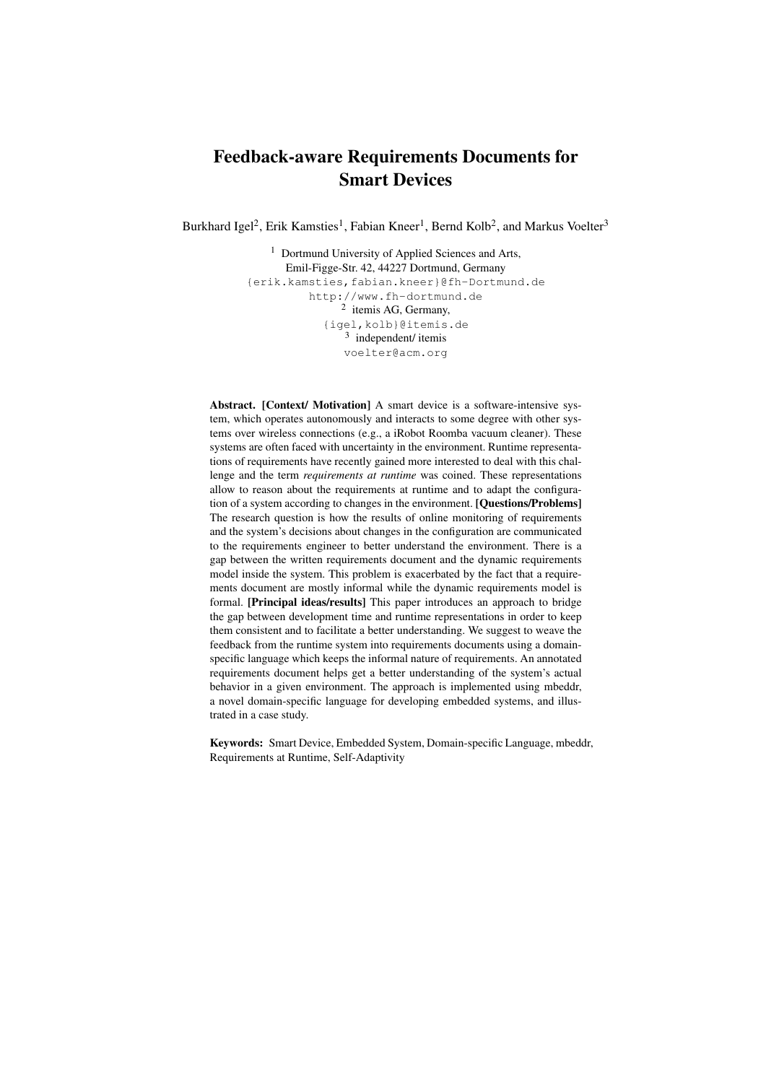# Feedback-aware Requirements Documents for Smart Devices

Burkhard Igel<sup>2</sup>, Erik Kamsties<sup>1</sup>, Fabian Kneer<sup>1</sup>, Bernd Kolb<sup>2</sup>, and Markus Voelter<sup>3</sup>

<sup>1</sup> Dortmund University of Applied Sciences and Arts, Emil-Figge-Str. 42, 44227 Dortmund, Germany {erik.kamsties,fabian.kneer}@fh-Dortmund.de http://www.fh-dortmund.de 2 itemis AG, Germany, {igel,kolb}@itemis.de 3 independent/ itemis voelter@acm.org

Abstract. [Context/ Motivation] A smart device is a software-intensive system, which operates autonomously and interacts to some degree with other systems over wireless connections (e.g., a iRobot Roomba vacuum cleaner). These systems are often faced with uncertainty in the environment. Runtime representations of requirements have recently gained more interested to deal with this challenge and the term *requirements at runtime* was coined. These representations allow to reason about the requirements at runtime and to adapt the configuration of a system according to changes in the environment. [Questions/Problems] The research question is how the results of online monitoring of requirements and the system's decisions about changes in the configuration are communicated to the requirements engineer to better understand the environment. There is a gap between the written requirements document and the dynamic requirements model inside the system. This problem is exacerbated by the fact that a requirements document are mostly informal while the dynamic requirements model is formal. [Principal ideas/results] This paper introduces an approach to bridge the gap between development time and runtime representations in order to keep them consistent and to facilitate a better understanding. We suggest to weave the feedback from the runtime system into requirements documents using a domainspecific language which keeps the informal nature of requirements. An annotated requirements document helps get a better understanding of the system's actual behavior in a given environment. The approach is implemented using mbeddr, a novel domain-specific language for developing embedded systems, and illustrated in a case study.

Keywords: Smart Device, Embedded System, Domain-specific Language, mbeddr, Requirements at Runtime, Self-Adaptivity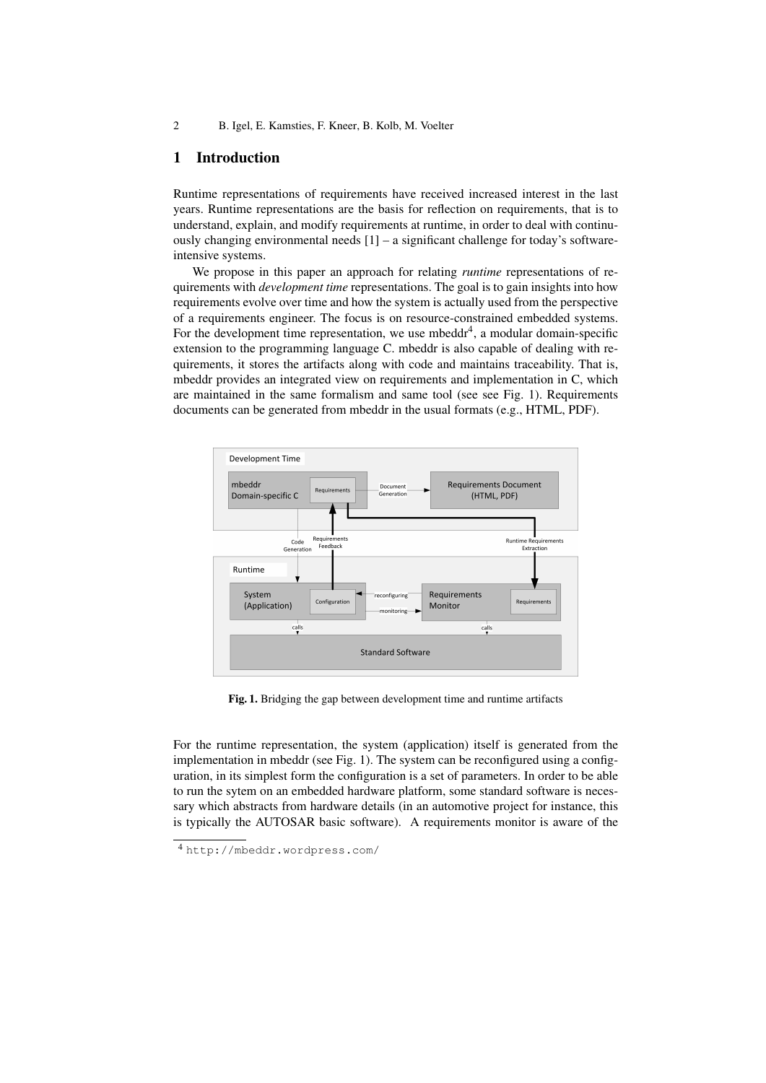## 1 Introduction

Runtime representations of requirements have received increased interest in the last years. Runtime representations are the basis for reflection on requirements, that is to understand, explain, and modify requirements at runtime, in order to deal with continuously changing environmental needs [1] – a significant challenge for today's softwareintensive systems.

We propose in this paper an approach for relating *runtime* representations of requirements with *development time* representations. The goal is to gain insights into how requirements evolve over time and how the system is actually used from the perspective of a requirements engineer. The focus is on resource-constrained embedded systems. For the development time representation, we use mbeddr<sup>4</sup>, a modular domain-specific extension to the programming language C. mbeddr is also capable of dealing with requirements, it stores the artifacts along with code and maintains traceability. That is, mbeddr provides an integrated view on requirements and implementation in C, which are maintained in the same formalism and same tool (see see Fig. 1). Requirements documents can be generated from mbeddr in the usual formats (e.g., HTML, PDF).



Fig. 1. Bridging the gap between development time and runtime artifacts

For the runtime representation, the system (application) itself is generated from the implementation in mbeddr (see Fig. 1). The system can be reconfigured using a configuration, in its simplest form the configuration is a set of parameters. In order to be able to run the sytem on an embedded hardware platform, some standard software is necessary which abstracts from hardware details (in an automotive project for instance, this is typically the AUTOSAR basic software). A requirements monitor is aware of the

<sup>4</sup> http://mbeddr.wordpress.com/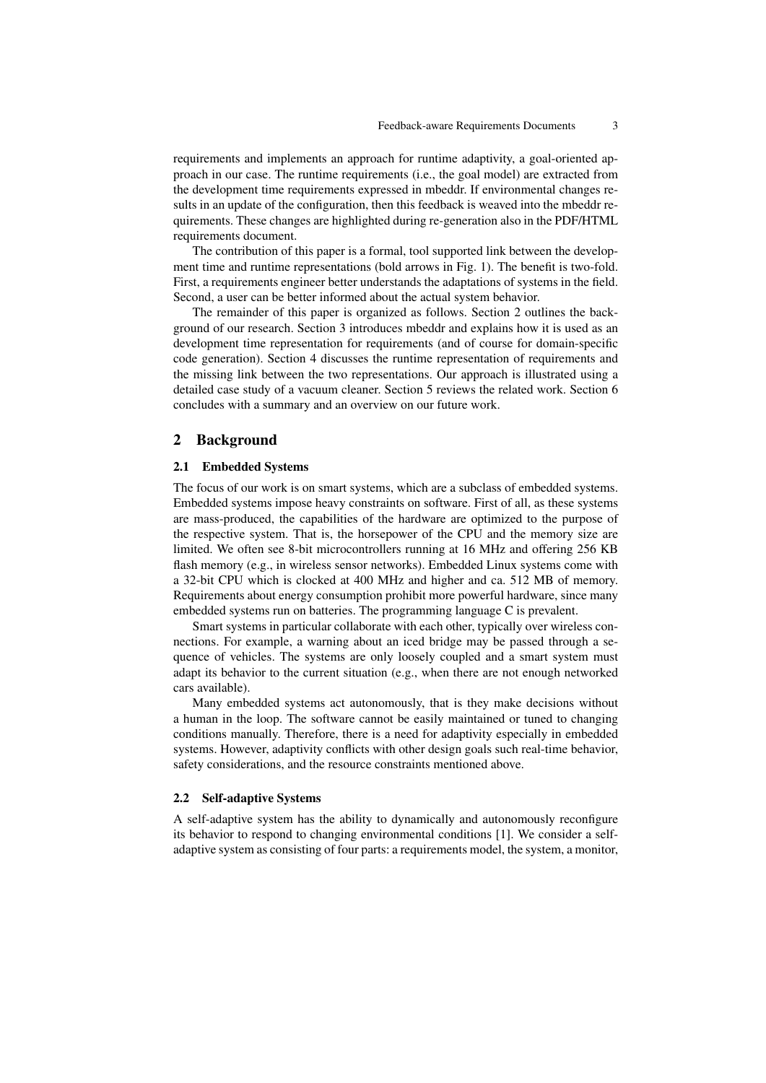requirements and implements an approach for runtime adaptivity, a goal-oriented approach in our case. The runtime requirements (i.e., the goal model) are extracted from the development time requirements expressed in mbeddr. If environmental changes results in an update of the configuration, then this feedback is weaved into the mbeddr requirements. These changes are highlighted during re-generation also in the PDF/HTML requirements document.

The contribution of this paper is a formal, tool supported link between the development time and runtime representations (bold arrows in Fig. 1). The benefit is two-fold. First, a requirements engineer better understands the adaptations of systems in the field. Second, a user can be better informed about the actual system behavior.

The remainder of this paper is organized as follows. Section 2 outlines the background of our research. Section 3 introduces mbeddr and explains how it is used as an development time representation for requirements (and of course for domain-specific code generation). Section 4 discusses the runtime representation of requirements and the missing link between the two representations. Our approach is illustrated using a detailed case study of a vacuum cleaner. Section 5 reviews the related work. Section 6 concludes with a summary and an overview on our future work.

## 2 Background

#### 2.1 Embedded Systems

The focus of our work is on smart systems, which are a subclass of embedded systems. Embedded systems impose heavy constraints on software. First of all, as these systems are mass-produced, the capabilities of the hardware are optimized to the purpose of the respective system. That is, the horsepower of the CPU and the memory size are limited. We often see 8-bit microcontrollers running at 16 MHz and offering 256 KB flash memory (e.g., in wireless sensor networks). Embedded Linux systems come with a 32-bit CPU which is clocked at 400 MHz and higher and ca. 512 MB of memory. Requirements about energy consumption prohibit more powerful hardware, since many embedded systems run on batteries. The programming language C is prevalent.

Smart systems in particular collaborate with each other, typically over wireless connections. For example, a warning about an iced bridge may be passed through a sequence of vehicles. The systems are only loosely coupled and a smart system must adapt its behavior to the current situation (e.g., when there are not enough networked cars available).

Many embedded systems act autonomously, that is they make decisions without a human in the loop. The software cannot be easily maintained or tuned to changing conditions manually. Therefore, there is a need for adaptivity especially in embedded systems. However, adaptivity conflicts with other design goals such real-time behavior, safety considerations, and the resource constraints mentioned above.

#### 2.2 Self-adaptive Systems

A self-adaptive system has the ability to dynamically and autonomously reconfigure its behavior to respond to changing environmental conditions [1]. We consider a selfadaptive system as consisting of four parts: a requirements model, the system, a monitor,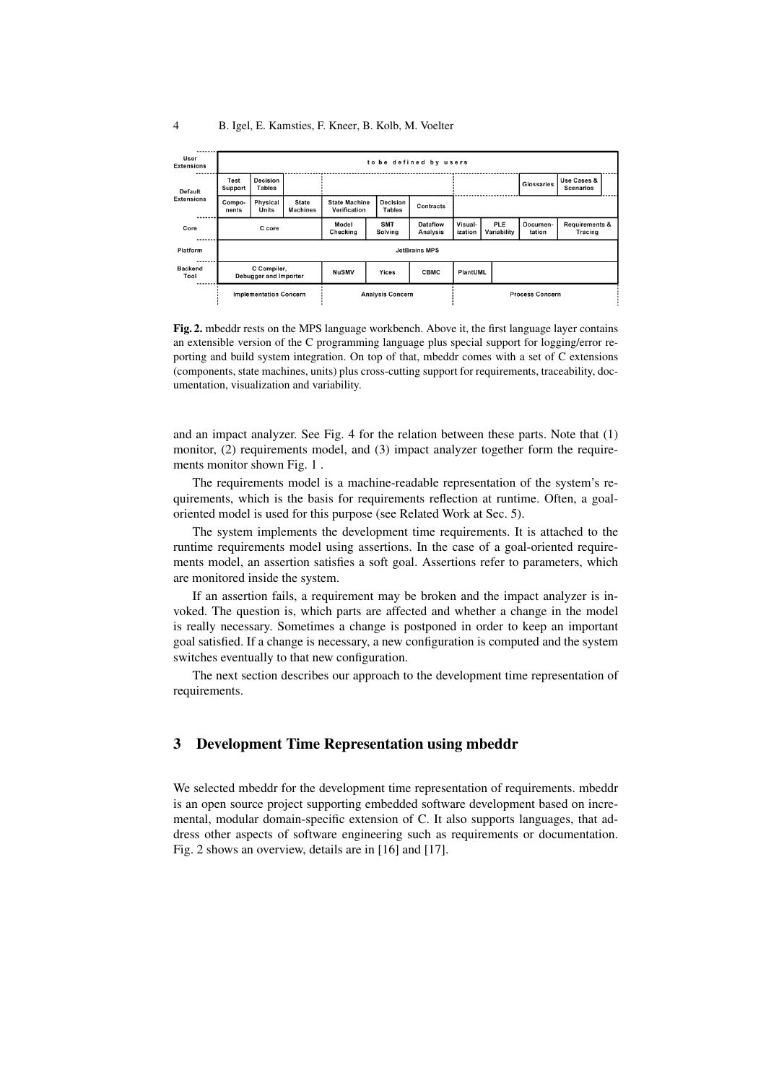| User<br>Extensions     |                                      | to be defined by users    |                                 |                                      |                           |                    |                        |                    |                                      |                                 |  |
|------------------------|--------------------------------------|---------------------------|---------------------------------|--------------------------------------|---------------------------|--------------------|------------------------|--------------------|--------------------------------------|---------------------------------|--|
| Default<br>Extensions  | Test<br>Support                      | Decision<br><b>Tables</b> |                                 |                                      |                           |                    |                        |                    | <b>Glossaries</b>                    | Use Cases &<br><b>Scenarios</b> |  |
|                        | Compo-<br>nents                      | Physical<br>Units         | <b>State</b><br><b>Machines</b> | <b>State Machine</b><br>Verification | Decision<br><b>Tables</b> | Contracts          |                        |                    |                                      |                                 |  |
| Core                   | C core                               |                           | Model<br>Checking               | <b>SMT</b><br>Solving                | Dataflow<br>Analysis      | Visual-<br>ization | PLE<br>Variability     | Documen-<br>tation | <b>Requirements &amp;</b><br>Tracing |                                 |  |
| Platform               | <b>JetBrains MPS</b>                 |                           |                                 |                                      |                           |                    |                        |                    |                                      |                                 |  |
| <b>Backend</b><br>Tool | C Compiler,<br>Debugger and Importer |                           | <b>NuSMV</b>                    | Yices                                | <b>CBMC</b>               | PlantUML           |                        |                    |                                      |                                 |  |
|                        | <b>Implementation Concern</b>        |                           |                                 | <b>Analysis Concern</b>              |                           |                    | <b>Process Concern</b> |                    |                                      |                                 |  |

Fig. 2. mbeddr rests on the MPS language workbench. Above it, the first language layer contains an extensible version of the C programming language plus special support for logging/error reporting and build system integration. On top of that, mbeddr comes with a set of C extensions (components, state machines, units) plus cross-cutting support for requirements, traceability, documentation, visualization and variability.

and an impact analyzer. See Fig. 4 for the relation between these parts. Note that (1) monitor, (2) requirements model, and (3) impact analyzer together form the requirements monitor shown Fig. 1 .

The requirements model is a machine-readable representation of the system's requirements, which is the basis for requirements reflection at runtime. Often, a goaloriented model is used for this purpose (see Related Work at Sec. 5).

The system implements the development time requirements. It is attached to the runtime requirements model using assertions. In the case of a goal-oriented requirements model, an assertion satisfies a soft goal. Assertions refer to parameters, which are monitored inside the system.

If an assertion fails, a requirement may be broken and the impact analyzer is invoked. The question is, which parts are affected and whether a change in the model is really necessary. Sometimes a change is postponed in order to keep an important goal satisfied. If a change is necessary, a new configuration is computed and the system switches eventually to that new configuration.

The next section describes our approach to the development time representation of requirements.

# 3 Development Time Representation using mbeddr

We selected mbeddr for the development time representation of requirements. mbeddr is an open source project supporting embedded software development based on incremental, modular domain-specific extension of C. It also supports languages, that address other aspects of software engineering such as requirements or documentation. Fig. 2 shows an overview, details are in [16] and [17].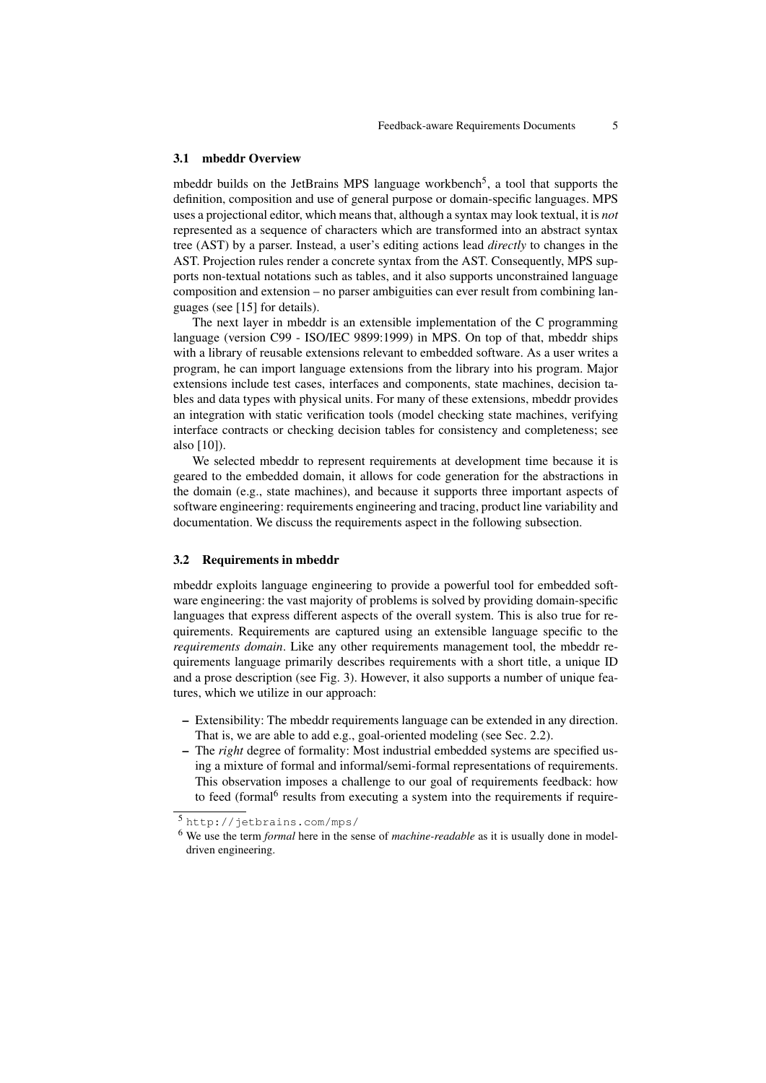#### 3.1 mbeddr Overview

mbeddr builds on the JetBrains MPS language workbench<sup>5</sup>, a tool that supports the definition, composition and use of general purpose or domain-specific languages. MPS uses a projectional editor, which means that, although a syntax may look textual, it is *not* represented as a sequence of characters which are transformed into an abstract syntax tree (AST) by a parser. Instead, a user's editing actions lead *directly* to changes in the AST. Projection rules render a concrete syntax from the AST. Consequently, MPS supports non-textual notations such as tables, and it also supports unconstrained language composition and extension – no parser ambiguities can ever result from combining languages (see [15] for details).

The next layer in mbeddr is an extensible implementation of the C programming language (version C99 - ISO/IEC 9899:1999) in MPS. On top of that, mbeddr ships with a library of reusable extensions relevant to embedded software. As a user writes a program, he can import language extensions from the library into his program. Major extensions include test cases, interfaces and components, state machines, decision tables and data types with physical units. For many of these extensions, mbeddr provides an integration with static verification tools (model checking state machines, verifying interface contracts or checking decision tables for consistency and completeness; see also [10]).

We selected mbeddr to represent requirements at development time because it is geared to the embedded domain, it allows for code generation for the abstractions in the domain (e.g., state machines), and because it supports three important aspects of software engineering: requirements engineering and tracing, product line variability and documentation. We discuss the requirements aspect in the following subsection.

#### 3.2 Requirements in mbeddr

mbeddr exploits language engineering to provide a powerful tool for embedded software engineering: the vast majority of problems is solved by providing domain-specific languages that express different aspects of the overall system. This is also true for requirements. Requirements are captured using an extensible language specific to the *requirements domain*. Like any other requirements management tool, the mbeddr requirements language primarily describes requirements with a short title, a unique ID and a prose description (see Fig. 3). However, it also supports a number of unique features, which we utilize in our approach:

- Extensibility: The mbeddr requirements language can be extended in any direction. That is, we are able to add e.g., goal-oriented modeling (see Sec. 2.2).
- The *right* degree of formality: Most industrial embedded systems are specified using a mixture of formal and informal/semi-formal representations of requirements. This observation imposes a challenge to our goal of requirements feedback: how to feed (formal<sup>6</sup> results from executing a system into the requirements if require-

<sup>5</sup> http://jetbrains.com/mps/

<sup>6</sup> We use the term *formal* here in the sense of *machine-readable* as it is usually done in modeldriven engineering.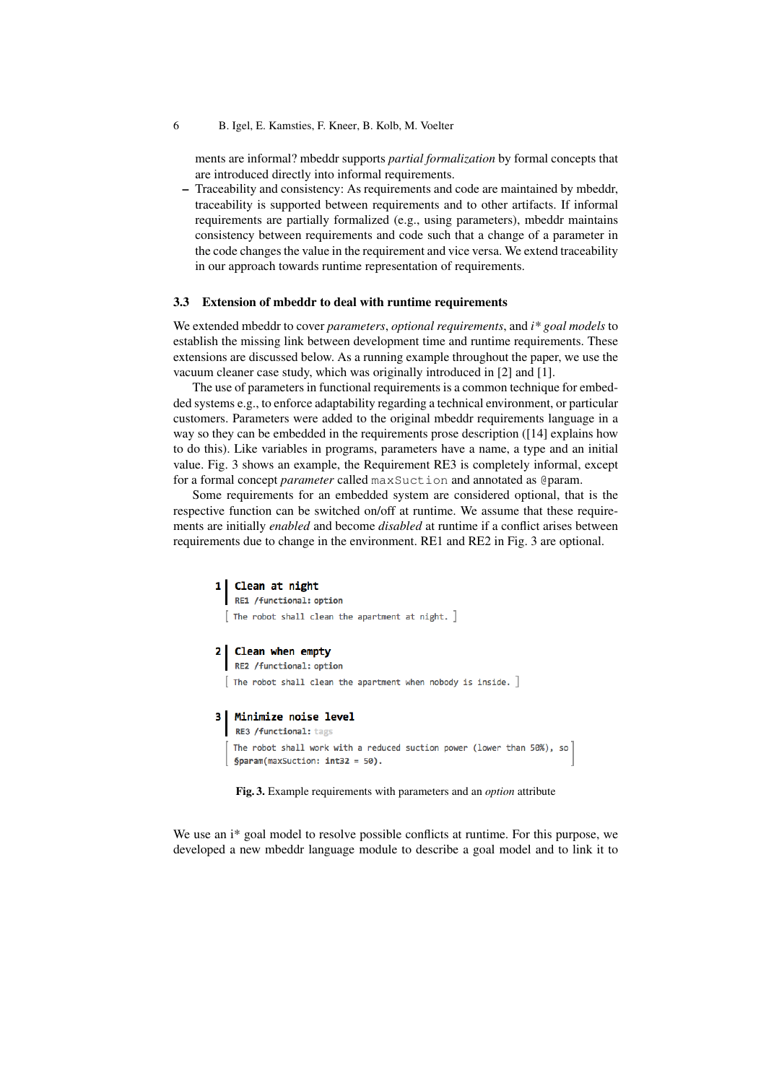ments are informal? mbeddr supports *partial formalization* by formal concepts that are introduced directly into informal requirements.

– Traceability and consistency: As requirements and code are maintained by mbeddr, traceability is supported between requirements and to other artifacts. If informal requirements are partially formalized (e.g., using parameters), mbeddr maintains consistency between requirements and code such that a change of a parameter in the code changes the value in the requirement and vice versa. We extend traceability in our approach towards runtime representation of requirements.

#### 3.3 Extension of mbeddr to deal with runtime requirements

We extended mbeddr to cover *parameters*, *optional requirements*, and *i\* goal models* to establish the missing link between development time and runtime requirements. These extensions are discussed below. As a running example throughout the paper, we use the vacuum cleaner case study, which was originally introduced in [2] and [1].

The use of parameters in functional requirements is a common technique for embedded systems e.g., to enforce adaptability regarding a technical environment, or particular customers. Parameters were added to the original mbeddr requirements language in a way so they can be embedded in the requirements prose description ([14] explains how to do this). Like variables in programs, parameters have a name, a type and an initial value. Fig. 3 shows an example, the Requirement RE3 is completely informal, except for a formal concept *parameter* called maxSuction and annotated as @param.

Some requirements for an embedded system are considered optional, that is the respective function can be switched on/off at runtime. We assume that these requirements are initially *enabled* and become *disabled* at runtime if a conflict arises between requirements due to change in the environment. RE1 and RE2 in Fig. 3 are optional.

1 Clean at night RE1 /functional: option  $\lceil$  The robot shall clean the apartment at night.  $\rceil$ 2 Clean when empty RE2 /functional: option  $[$  The robot shall clean the apartment when nobody is inside.  $]$ 3 | Minimize noise level RE3 /functional: tags The robot shall work with a reduced suction power (lower than 50%), so  $$param(maxSection: int32 = 50).$ 

Fig. 3. Example requirements with parameters and an *option* attribute

We use an i\* goal model to resolve possible conflicts at runtime. For this purpose, we developed a new mbeddr language module to describe a goal model and to link it to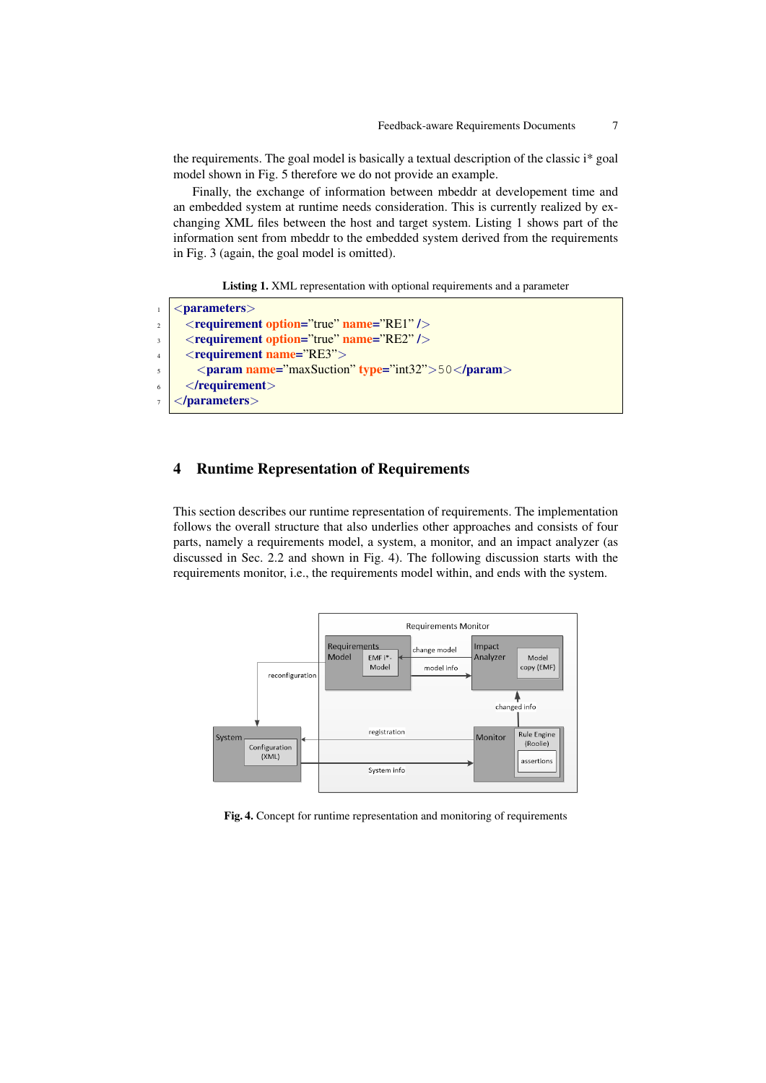the requirements. The goal model is basically a textual description of the classic i\* goal model shown in Fig. 5 therefore we do not provide an example.

Finally, the exchange of information between mbeddr at developement time and an embedded system at runtime needs consideration. This is currently realized by exchanging XML files between the host and target system. Listing 1 shows part of the information sent from mbeddr to the embedded system derived from the requirements in Fig. 3 (again, the goal model is omitted).

Listing 1. XML representation with optional requirements and a parameter

```
1 <parameters>
\frac{1}{2} <requirement option="true" name="RE1" />
\frac{3}{100} < requirement option="true" name="RE2" />
4 \timesrequirement name="RE3">
\frac{1}{5} <param name="maxSuction" type="int32">50</param>
6 \mid \langle / \text{requirement} \rangle</parameters>
```
# 4 Runtime Representation of Requirements

This section describes our runtime representation of requirements. The implementation follows the overall structure that also underlies other approaches and consists of four parts, namely a requirements model, a system, a monitor, and an impact analyzer (as discussed in Sec. 2.2 and shown in Fig. 4). The following discussion starts with the requirements monitor, i.e., the requirements model within, and ends with the system.



Fig. 4. Concept for runtime representation and monitoring of requirements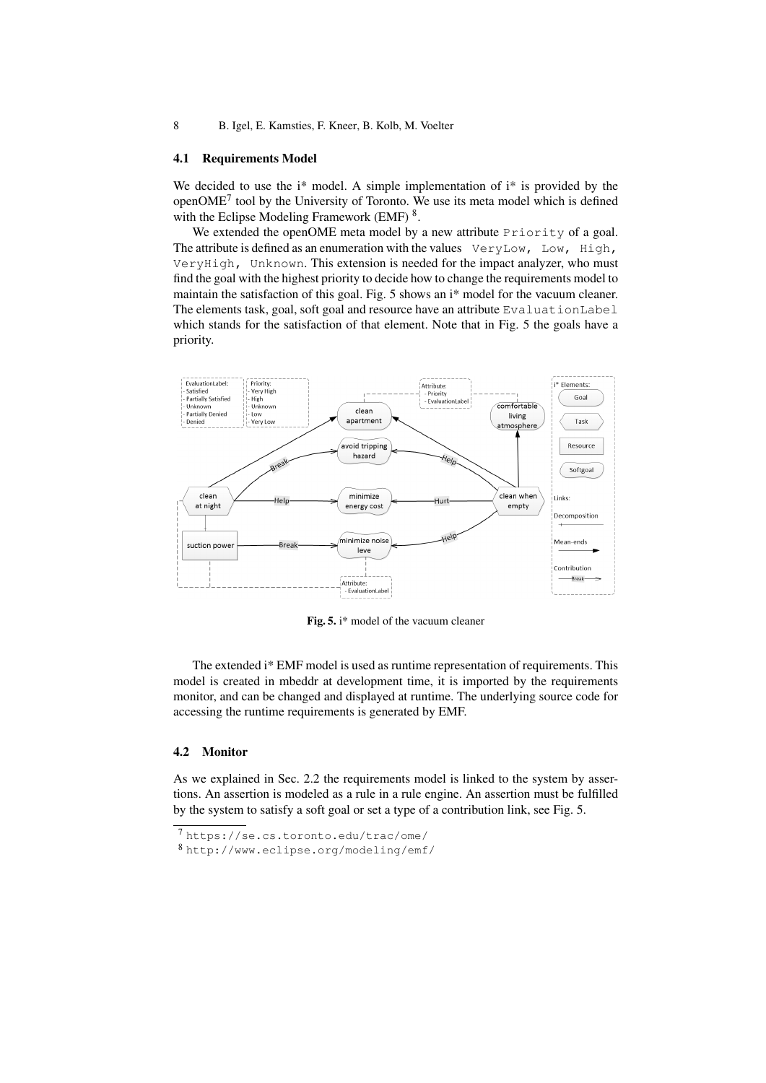#### 4.1 Requirements Model

We decided to use the  $i^*$  model. A simple implementation of  $i^*$  is provided by the openOME<sup>7</sup> tool by the University of Toronto. We use its meta model which is defined with the Eclipse Modeling Framework (EMF)<sup>8</sup>.

We extended the openOME meta model by a new attribute Priority of a goal. The attribute is defined as an enumeration with the values VeryLow, Low, High, VeryHigh, Unknown. This extension is needed for the impact analyzer, who must find the goal with the highest priority to decide how to change the requirements model to maintain the satisfaction of this goal. Fig. 5 shows an i\* model for the vacuum cleaner. The elements task, goal, soft goal and resource have an attribute EvaluationLabel which stands for the satisfaction of that element. Note that in Fig. 5 the goals have a priority.



Fig. 5. i\* model of the vacuum cleaner

The extended i\* EMF model is used as runtime representation of requirements. This model is created in mbeddr at development time, it is imported by the requirements monitor, and can be changed and displayed at runtime. The underlying source code for accessing the runtime requirements is generated by EMF.

## 4.2 Monitor

As we explained in Sec. 2.2 the requirements model is linked to the system by assertions. An assertion is modeled as a rule in a rule engine. An assertion must be fulfilled by the system to satisfy a soft goal or set a type of a contribution link, see Fig. 5.

<sup>7</sup> https://se.cs.toronto.edu/trac/ome/

<sup>8</sup> http://www.eclipse.org/modeling/emf/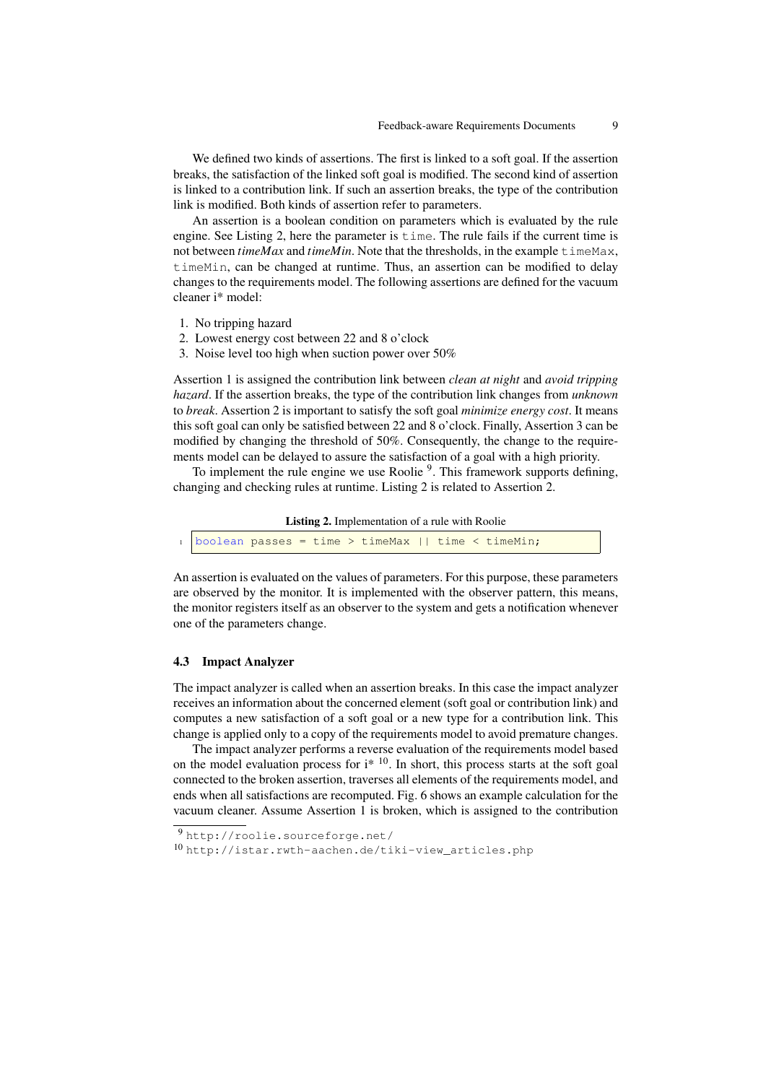We defined two kinds of assertions. The first is linked to a soft goal. If the assertion breaks, the satisfaction of the linked soft goal is modified. The second kind of assertion is linked to a contribution link. If such an assertion breaks, the type of the contribution link is modified. Both kinds of assertion refer to parameters.

An assertion is a boolean condition on parameters which is evaluated by the rule engine. See Listing 2, here the parameter is time. The rule fails if the current time is not between *timeMax* and *timeMin*. Note that the thresholds, in the example timeMax, timeMin, can be changed at runtime. Thus, an assertion can be modified to delay changes to the requirements model. The following assertions are defined for the vacuum cleaner i\* model:

- 1. No tripping hazard
- 2. Lowest energy cost between 22 and 8 o'clock
- 3. Noise level too high when suction power over 50%

Assertion 1 is assigned the contribution link between *clean at night* and *avoid tripping hazard*. If the assertion breaks, the type of the contribution link changes from *unknown* to *break*. Assertion 2 is important to satisfy the soft goal *minimize energy cost*. It means this soft goal can only be satisfied between 22 and 8 o'clock. Finally, Assertion 3 can be modified by changing the threshold of 50%. Consequently, the change to the requirements model can be delayed to assure the satisfaction of a goal with a high priority.

To implement the rule engine we use Roolie <sup>9</sup>. This framework supports defining, changing and checking rules at runtime. Listing 2 is related to Assertion 2.

Listing 2. Implementation of a rule with Roolie

boolean passes = time > timeMax || time < timeMin;

An assertion is evaluated on the values of parameters. For this purpose, these parameters are observed by the monitor. It is implemented with the observer pattern, this means, the monitor registers itself as an observer to the system and gets a notification whenever one of the parameters change.

#### 4.3 Impact Analyzer

The impact analyzer is called when an assertion breaks. In this case the impact analyzer receives an information about the concerned element (soft goal or contribution link) and computes a new satisfaction of a soft goal or a new type for a contribution link. This change is applied only to a copy of the requirements model to avoid premature changes.

The impact analyzer performs a reverse evaluation of the requirements model based on the model evaluation process for  $i^*$  <sup>10</sup>. In short, this process starts at the soft goal connected to the broken assertion, traverses all elements of the requirements model, and ends when all satisfactions are recomputed. Fig. 6 shows an example calculation for the vacuum cleaner. Assume Assertion 1 is broken, which is assigned to the contribution

<sup>9</sup> http://roolie.sourceforge.net/

<sup>10</sup> http://istar.rwth-aachen.de/tiki-view\_articles.php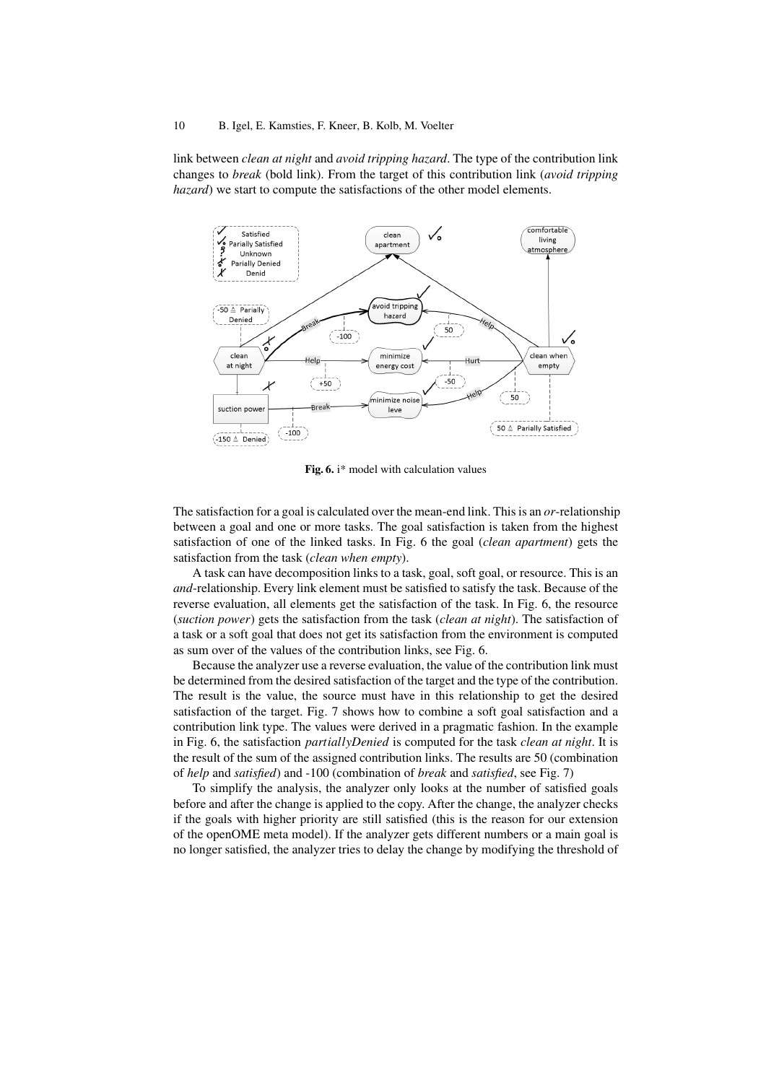link between *clean at night* and *avoid tripping hazard*. The type of the contribution link changes to *break* (bold link). From the target of this contribution link (*avoid tripping hazard*) we start to compute the satisfactions of the other model elements.



Fig. 6. i\* model with calculation values

The satisfaction for a goal is calculated over the mean-end link. This is an *or*-relationship between a goal and one or more tasks. The goal satisfaction is taken from the highest satisfaction of one of the linked tasks. In Fig. 6 the goal (*clean apartment*) gets the satisfaction from the task (*clean when empty*).

A task can have decomposition links to a task, goal, soft goal, or resource. This is an *and*-relationship. Every link element must be satisfied to satisfy the task. Because of the reverse evaluation, all elements get the satisfaction of the task. In Fig. 6, the resource (*suction power*) gets the satisfaction from the task (*clean at night*). The satisfaction of a task or a soft goal that does not get its satisfaction from the environment is computed as sum over of the values of the contribution links, see Fig. 6.

Because the analyzer use a reverse evaluation, the value of the contribution link must be determined from the desired satisfaction of the target and the type of the contribution. The result is the value, the source must have in this relationship to get the desired satisfaction of the target. Fig. 7 shows how to combine a soft goal satisfaction and a contribution link type. The values were derived in a pragmatic fashion. In the example in Fig. 6, the satisfaction *partiallyDenied* is computed for the task *clean at night*. It is the result of the sum of the assigned contribution links. The results are 50 (combination of *help* and *satisfied*) and -100 (combination of *break* and *satisfied*, see Fig. 7)

To simplify the analysis, the analyzer only looks at the number of satisfied goals before and after the change is applied to the copy. After the change, the analyzer checks if the goals with higher priority are still satisfied (this is the reason for our extension of the openOME meta model). If the analyzer gets different numbers or a main goal is no longer satisfied, the analyzer tries to delay the change by modifying the threshold of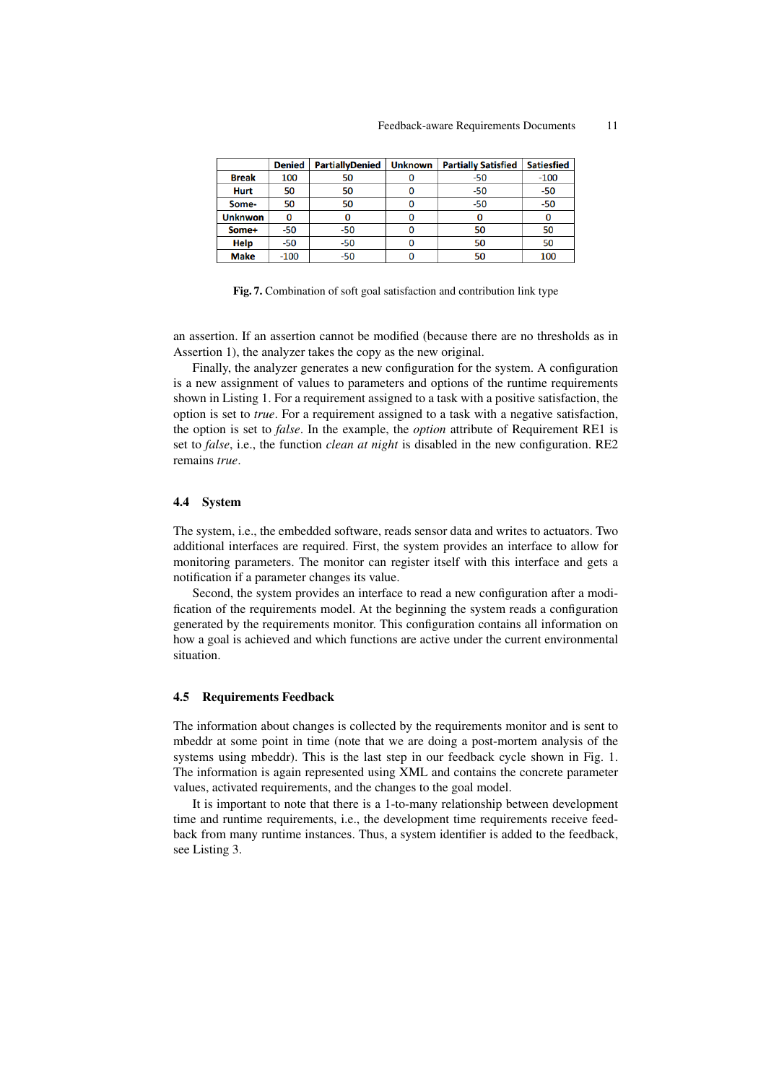#### Feedback-aware Requirements Documents 11

|                | <b>Denied</b> | <b>PartiallyDenied</b> | <b>Unknown</b> | <b>Partially Satisfied</b> | <b>Satiesfied</b> |
|----------------|---------------|------------------------|----------------|----------------------------|-------------------|
| <b>Break</b>   | 100           | 50                     |                | $-50$                      | $-100$            |
| <b>Hurt</b>    | 50            | 50                     |                | $-50$                      | $-50$             |
| Some-          | 50            | 50                     |                | $-50$                      | $-50$             |
| <b>Unknwon</b> |               |                        |                |                            |                   |
| Some+          | $-50$         | $-50$                  |                | 50                         | 50                |
| Help           | $-50$         | $-50$                  |                | 50                         | 50                |
| <b>Make</b>    | $-100$        | $-50$                  |                |                            | 100               |

Fig. 7. Combination of soft goal satisfaction and contribution link type

an assertion. If an assertion cannot be modified (because there are no thresholds as in Assertion 1), the analyzer takes the copy as the new original.

Finally, the analyzer generates a new configuration for the system. A configuration is a new assignment of values to parameters and options of the runtime requirements shown in Listing 1. For a requirement assigned to a task with a positive satisfaction, the option is set to *true*. For a requirement assigned to a task with a negative satisfaction, the option is set to *false*. In the example, the *option* attribute of Requirement RE1 is set to *false*, i.e., the function *clean at night* is disabled in the new configuration. RE2 remains *true*.

#### 4.4 System

The system, i.e., the embedded software, reads sensor data and writes to actuators. Two additional interfaces are required. First, the system provides an interface to allow for monitoring parameters. The monitor can register itself with this interface and gets a notification if a parameter changes its value.

Second, the system provides an interface to read a new configuration after a modification of the requirements model. At the beginning the system reads a configuration generated by the requirements monitor. This configuration contains all information on how a goal is achieved and which functions are active under the current environmental situation.

## 4.5 Requirements Feedback

The information about changes is collected by the requirements monitor and is sent to mbeddr at some point in time (note that we are doing a post-mortem analysis of the systems using mbeddr). This is the last step in our feedback cycle shown in Fig. 1. The information is again represented using XML and contains the concrete parameter values, activated requirements, and the changes to the goal model.

It is important to note that there is a 1-to-many relationship between development time and runtime requirements, i.e., the development time requirements receive feedback from many runtime instances. Thus, a system identifier is added to the feedback, see Listing 3.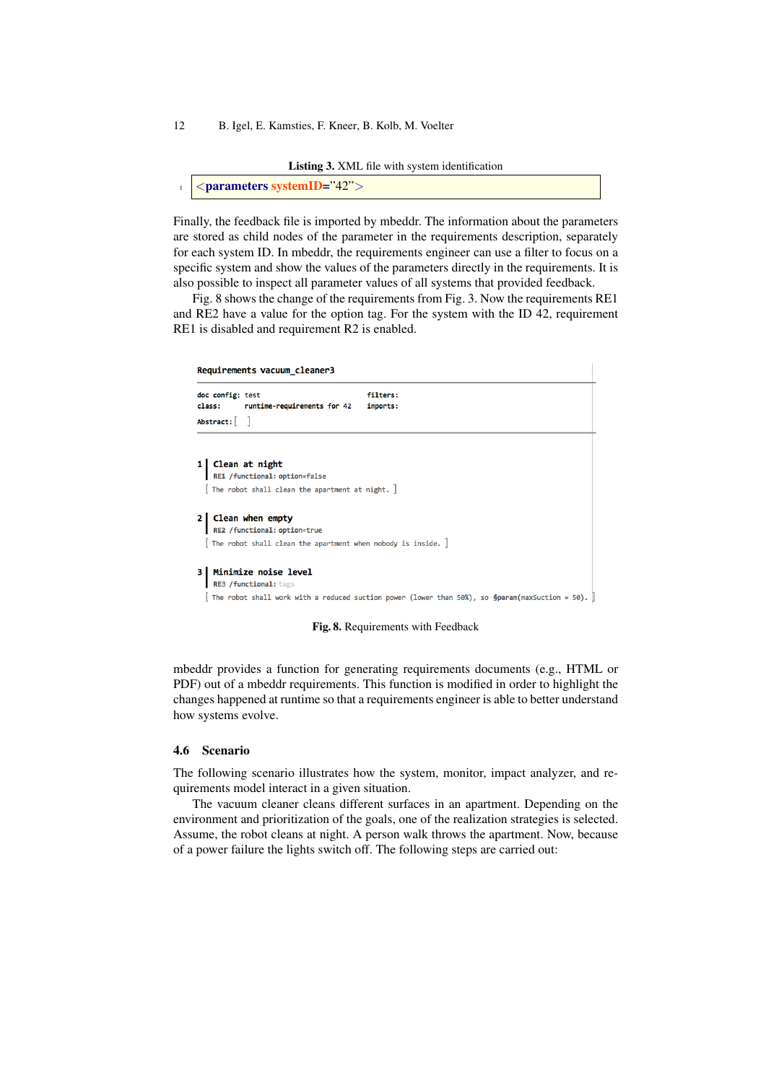Listing 3. XML file with system identification

```
<parameters systemID="42">
```
Finally, the feedback file is imported by mbeddr. The information about the parameters are stored as child nodes of the parameter in the requirements description, separately for each system ID. In mbeddr, the requirements engineer can use a filter to focus on a specific system and show the values of the parameters directly in the requirements. It is also possible to inspect all parameter values of all systems that provided feedback.

Fig. 8 shows the change of the requirements from Fig. 3. Now the requirements RE1 and RE2 have a value for the option tag. For the system with the ID 42, requirement RE1 is disabled and requirement R2 is enabled.

# Requirements vacuum\_cleaner3 filters: doc config: test class: runtime-requirements for 42 imports: Abstract: [ ] 1 Clean at night RE1 /functional: option=false [ The robot shall clean the apartment at night. ] 2 Clean when empty RE2 /functional: option=true  $[$  The robot shall clean the apartment when nobody is inside.  $]$ 3 | Minimize noise level RE3 /functional: tag [ The robot shall work with a reduced suction power (lower than 50%), so  $\delta$ param(maxSuction = 50).

Fig. 8. Requirements with Feedback

mbeddr provides a function for generating requirements documents (e.g., HTML or PDF) out of a mbeddr requirements. This function is modified in order to highlight the changes happened at runtime so that a requirements engineer is able to better understand how systems evolve.

#### 4.6 Scenario

The following scenario illustrates how the system, monitor, impact analyzer, and requirements model interact in a given situation.

The vacuum cleaner cleans different surfaces in an apartment. Depending on the environment and prioritization of the goals, one of the realization strategies is selected. Assume, the robot cleans at night. A person walk throws the apartment. Now, because of a power failure the lights switch off. The following steps are carried out: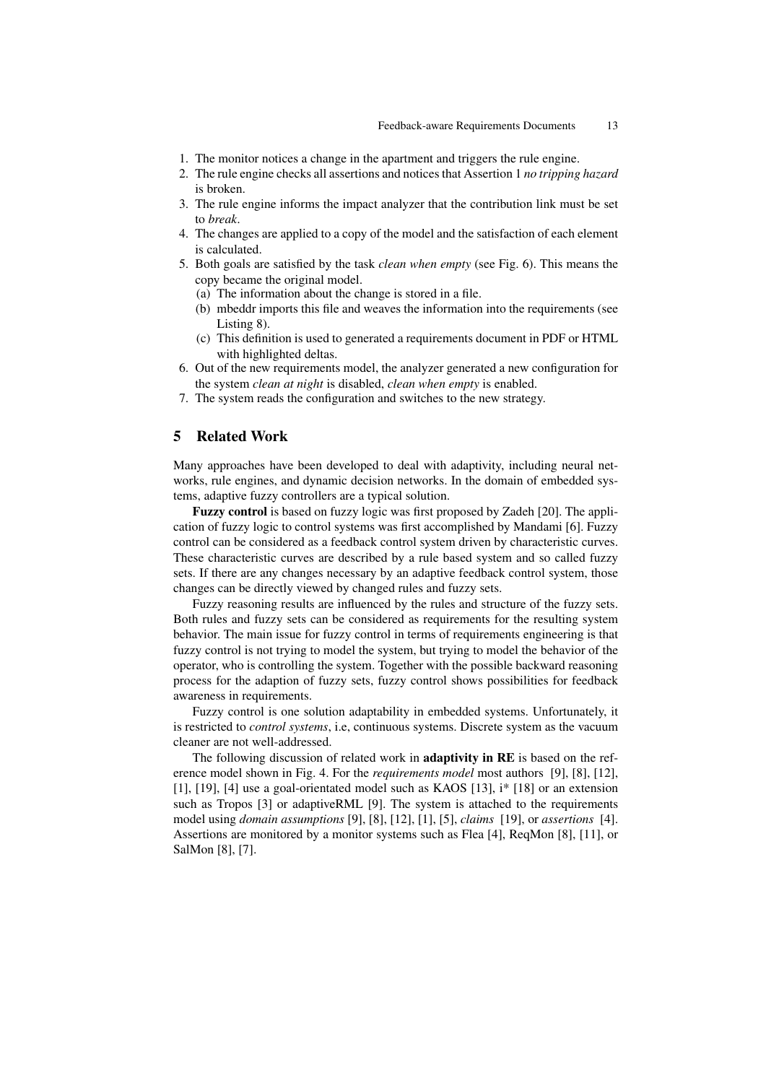- 1. The monitor notices a change in the apartment and triggers the rule engine.
- 2. The rule engine checks all assertions and notices that Assertion 1 *no tripping hazard* is broken.
- 3. The rule engine informs the impact analyzer that the contribution link must be set to *break*.
- 4. The changes are applied to a copy of the model and the satisfaction of each element is calculated.
- 5. Both goals are satisfied by the task *clean when empty* (see Fig. 6). This means the copy became the original model.
	- (a) The information about the change is stored in a file.
	- (b) mbeddr imports this file and weaves the information into the requirements (see Listing 8).
	- (c) This definition is used to generated a requirements document in PDF or HTML with highlighted deltas.
- 6. Out of the new requirements model, the analyzer generated a new configuration for the system *clean at night* is disabled, *clean when empty* is enabled.
- 7. The system reads the configuration and switches to the new strategy.

# 5 Related Work

Many approaches have been developed to deal with adaptivity, including neural networks, rule engines, and dynamic decision networks. In the domain of embedded systems, adaptive fuzzy controllers are a typical solution.

Fuzzy control is based on fuzzy logic was first proposed by Zadeh [20]. The application of fuzzy logic to control systems was first accomplished by Mandami [6]. Fuzzy control can be considered as a feedback control system driven by characteristic curves. These characteristic curves are described by a rule based system and so called fuzzy sets. If there are any changes necessary by an adaptive feedback control system, those changes can be directly viewed by changed rules and fuzzy sets.

Fuzzy reasoning results are influenced by the rules and structure of the fuzzy sets. Both rules and fuzzy sets can be considered as requirements for the resulting system behavior. The main issue for fuzzy control in terms of requirements engineering is that fuzzy control is not trying to model the system, but trying to model the behavior of the operator, who is controlling the system. Together with the possible backward reasoning process for the adaption of fuzzy sets, fuzzy control shows possibilities for feedback awareness in requirements.

Fuzzy control is one solution adaptability in embedded systems. Unfortunately, it is restricted to *control systems*, i.e, continuous systems. Discrete system as the vacuum cleaner are not well-addressed.

The following discussion of related work in **adaptivity in RE** is based on the reference model shown in Fig. 4. For the *requirements model* most authors [9], [8], [12], [1], [19], [4] use a goal-orientated model such as KAOS [13], i\* [18] or an extension such as Tropos [3] or adaptiveRML [9]. The system is attached to the requirements model using *domain assumptions* [9], [8], [12], [1], [5], *claims* [19], or *assertions* [4]. Assertions are monitored by a monitor systems such as Flea [4], ReqMon [8], [11], or SalMon [8], [7].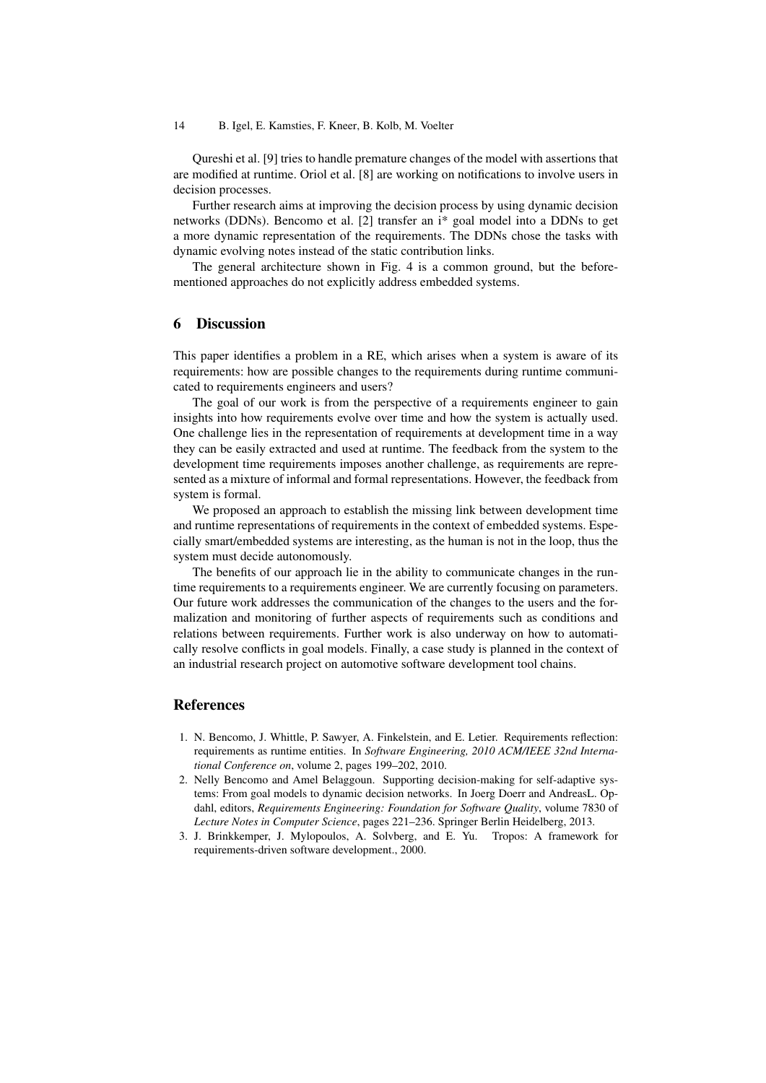Qureshi et al. [9] tries to handle premature changes of the model with assertions that are modified at runtime. Oriol et al. [8] are working on notifications to involve users in decision processes.

Further research aims at improving the decision process by using dynamic decision networks (DDNs). Bencomo et al. [2] transfer an i\* goal model into a DDNs to get a more dynamic representation of the requirements. The DDNs chose the tasks with dynamic evolving notes instead of the static contribution links.

The general architecture shown in Fig. 4 is a common ground, but the beforementioned approaches do not explicitly address embedded systems.

## 6 Discussion

This paper identifies a problem in a RE, which arises when a system is aware of its requirements: how are possible changes to the requirements during runtime communicated to requirements engineers and users?

The goal of our work is from the perspective of a requirements engineer to gain insights into how requirements evolve over time and how the system is actually used. One challenge lies in the representation of requirements at development time in a way they can be easily extracted and used at runtime. The feedback from the system to the development time requirements imposes another challenge, as requirements are represented as a mixture of informal and formal representations. However, the feedback from system is formal.

We proposed an approach to establish the missing link between development time and runtime representations of requirements in the context of embedded systems. Especially smart/embedded systems are interesting, as the human is not in the loop, thus the system must decide autonomously.

The benefits of our approach lie in the ability to communicate changes in the runtime requirements to a requirements engineer. We are currently focusing on parameters. Our future work addresses the communication of the changes to the users and the formalization and monitoring of further aspects of requirements such as conditions and relations between requirements. Further work is also underway on how to automatically resolve conflicts in goal models. Finally, a case study is planned in the context of an industrial research project on automotive software development tool chains.

## References

- 1. N. Bencomo, J. Whittle, P. Sawyer, A. Finkelstein, and E. Letier. Requirements reflection: requirements as runtime entities. In *Software Engineering, 2010 ACM/IEEE 32nd International Conference on*, volume 2, pages 199–202, 2010.
- 2. Nelly Bencomo and Amel Belaggoun. Supporting decision-making for self-adaptive systems: From goal models to dynamic decision networks. In Joerg Doerr and AndreasL. Opdahl, editors, *Requirements Engineering: Foundation for Software Quality*, volume 7830 of *Lecture Notes in Computer Science*, pages 221–236. Springer Berlin Heidelberg, 2013.
- 3. J. Brinkkemper, J. Mylopoulos, A. Solvberg, and E. Yu. Tropos: A framework for requirements-driven software development., 2000.